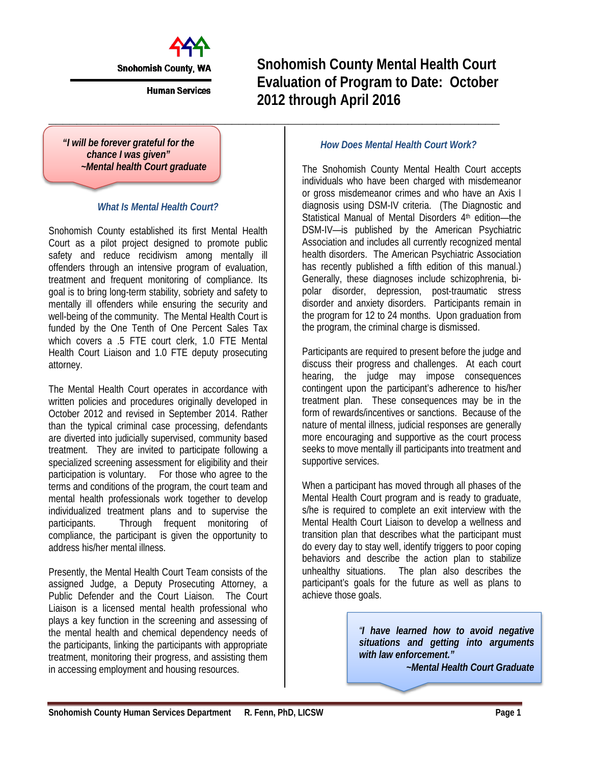

**Snohomish County, WA** 

**Human Services** 

**\_\_\_\_\_\_\_\_\_\_\_\_\_\_\_\_\_\_\_\_\_\_\_\_\_\_\_\_\_\_\_\_\_\_\_\_\_\_\_\_\_\_\_\_\_\_\_\_\_\_\_\_\_\_\_\_\_\_\_\_\_\_\_\_**

**Snohomish County Mental Health Court Evaluation of Program to Date: October 2012 through April 2016**

*"I will be forever grateful for the chance I was given" ~Mental health Court graduate*

### *What Is Mental Health Court?*

Snohomish County established its first Mental Health Court as a pilot project designed to promote public safety and reduce recidivism among mentally ill offenders through an intensive program of evaluation, treatment and frequent monitoring of compliance. Its goal is to bring long-term stability, sobriety and safety to mentally ill offenders while ensuring the security and well-being of the community. The Mental Health Court is funded by the One Tenth of One Percent Sales Tax which covers a .5 FTE court clerk, 1.0 FTE Mental Health Court Liaison and 1.0 FTE deputy prosecuting attorney.

The Mental Health Court operates in accordance with written policies and procedures originally developed in October 2012 and revised in September 2014. Rather than the typical criminal case processing, defendants are diverted into judicially supervised, community based treatment. They are invited to participate following a specialized screening assessment for eligibility and their participation is voluntary. For those who agree to the terms and conditions of the program, the court team and mental health professionals work together to develop individualized treatment plans and to supervise the participants. Through frequent monitoring of compliance, the participant is given the opportunity to address his/her mental illness.

Presently, the Mental Health Court Team consists of the assigned Judge, a Deputy Prosecuting Attorney, a Public Defender and the Court Liaison. The Court Liaison is a licensed mental health professional who plays a key function in the screening and assessing of the mental health and chemical dependency needs of the participants, linking the participants with appropriate treatment, monitoring their progress, and assisting them in accessing employment and housing resources.

## *How Does Mental Health Court Work?*

The Snohomish County Mental Health Court accepts individuals who have been charged with misdemeanor or gross misdemeanor crimes and who have an Axis I diagnosis using DSM-IV criteria. (The Diagnostic and Statistical Manual of Mental Disorders 4<sup>th</sup> edition-the DSM-IV—is published by the American Psychiatric Association and includes all currently recognized mental health disorders. The American Psychiatric Association has recently published a fifth edition of this manual.) Generally, these diagnoses include schizophrenia, bipolar disorder, depression, post-traumatic stress disorder and anxiety disorders. Participants remain in the program for 12 to 24 months. Upon graduation from the program, the criminal charge is dismissed.

Participants are required to present before the judge and discuss their progress and challenges. At each court hearing, the judge may impose consequences contingent upon the participant's adherence to his/her treatment plan. These consequences may be in the form of rewards/incentives or sanctions. Because of the nature of mental illness, judicial responses are generally more encouraging and supportive as the court process seeks to move mentally ill participants into treatment and supportive services.

When a participant has moved through all phases of the Mental Health Court program and is ready to graduate, s/he is required to complete an exit interview with the Mental Health Court Liaison to develop a wellness and transition plan that describes what the participant must do every day to stay well, identify triggers to poor coping behaviors and describe the action plan to stabilize unhealthy situations. The plan also describes the participant's goals for the future as well as plans to achieve those goals.

> *"I have learned how to avoid negative situations and getting into arguments with law enforcement." ~Mental Health Court Graduate*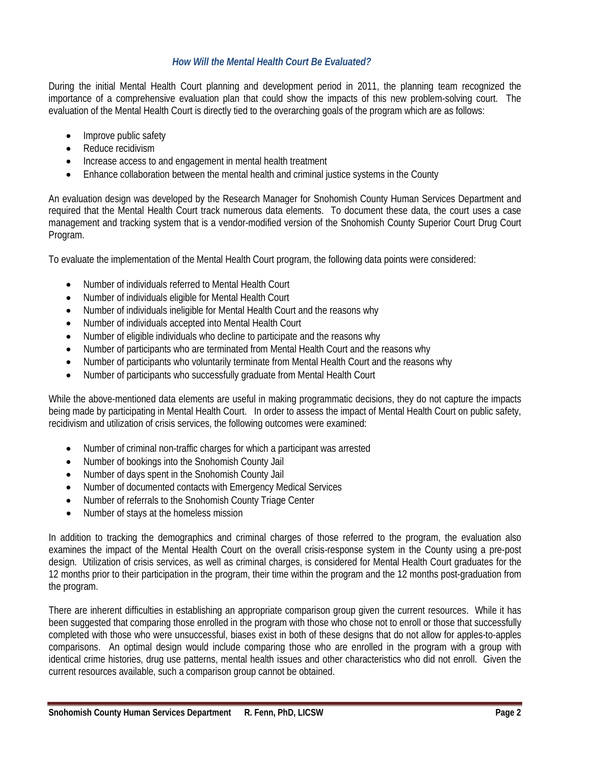### *How Will the Mental Health Court Be Evaluated?*

During the initial Mental Health Court planning and development period in 2011, the planning team recognized the importance of a comprehensive evaluation plan that could show the impacts of this new problem-solving court. The evaluation of the Mental Health Court is directly tied to the overarching goals of the program which are as follows:

- Improve public safety
- Reduce recidivism
- Increase access to and engagement in mental health treatment
- Enhance collaboration between the mental health and criminal justice systems in the County

An evaluation design was developed by the Research Manager for Snohomish County Human Services Department and required that the Mental Health Court track numerous data elements. To document these data, the court uses a case management and tracking system that is a vendor-modified version of the Snohomish County Superior Court Drug Court Program.

To evaluate the implementation of the Mental Health Court program, the following data points were considered:

- Number of individuals referred to Mental Health Court
- Number of individuals eligible for Mental Health Court
- Number of individuals ineligible for Mental Health Court and the reasons why
- Number of individuals accepted into Mental Health Court
- Number of eligible individuals who decline to participate and the reasons why
- Number of participants who are terminated from Mental Health Court and the reasons why
- Number of participants who voluntarily terminate from Mental Health Court and the reasons why
- Number of participants who successfully graduate from Mental Health Court

While the above-mentioned data elements are useful in making programmatic decisions, they do not capture the impacts being made by participating in Mental Health Court. In order to assess the impact of Mental Health Court on public safety, recidivism and utilization of crisis services, the following outcomes were examined:

- Number of criminal non-traffic charges for which a participant was arrested
- Number of bookings into the Snohomish County Jail
- Number of days spent in the Snohomish County Jail
- Number of documented contacts with Emergency Medical Services
- Number of referrals to the Snohomish County Triage Center
- Number of stays at the homeless mission

In addition to tracking the demographics and criminal charges of those referred to the program, the evaluation also examines the impact of the Mental Health Court on the overall crisis-response system in the County using a pre-post design. Utilization of crisis services, as well as criminal charges, is considered for Mental Health Court graduates for the 12 months prior to their participation in the program, their time within the program and the 12 months post-graduation from the program.

There are inherent difficulties in establishing an appropriate comparison group given the current resources. While it has been suggested that comparing those enrolled in the program with those who chose not to enroll or those that successfully completed with those who were unsuccessful, biases exist in both of these designs that do not allow for apples-to-apples comparisons. An optimal design would include comparing those who are enrolled in the program with a group with identical crime histories, drug use patterns, mental health issues and other characteristics who did not enroll. Given the current resources available, such a comparison group cannot be obtained.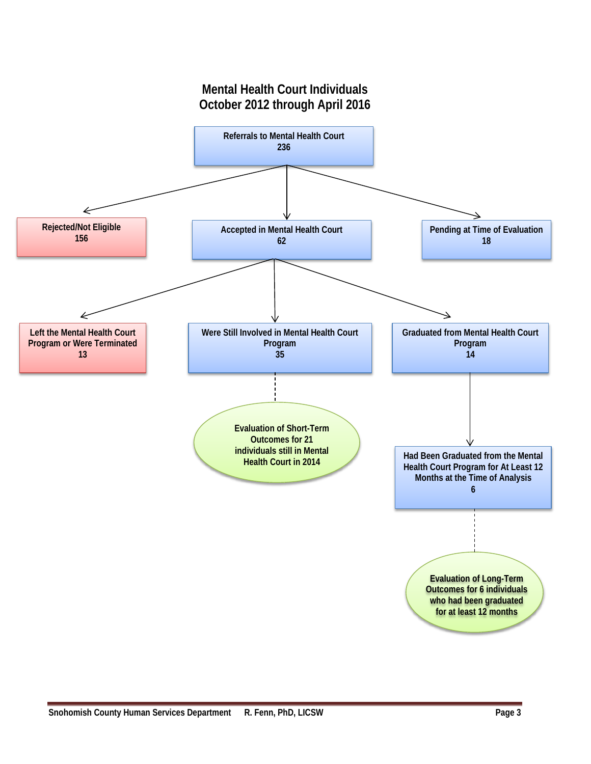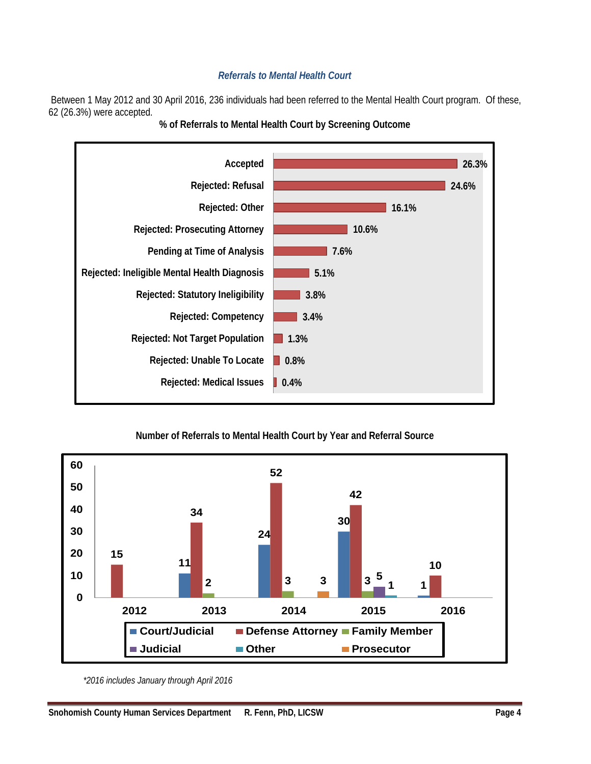# *Referrals to Mental Health Court*

Between 1 May 2012 and 30 April 2016, 236 individuals had been referred to the Mental Health Court program. Of these, 62 (26.3%) were accepted.



**% of Referrals to Mental Health Court by Screening Outcome**

# **Number of Referrals to Mental Health Court by Year and Referral Source**



*<sup>\*2016</sup> includes January through April 2016*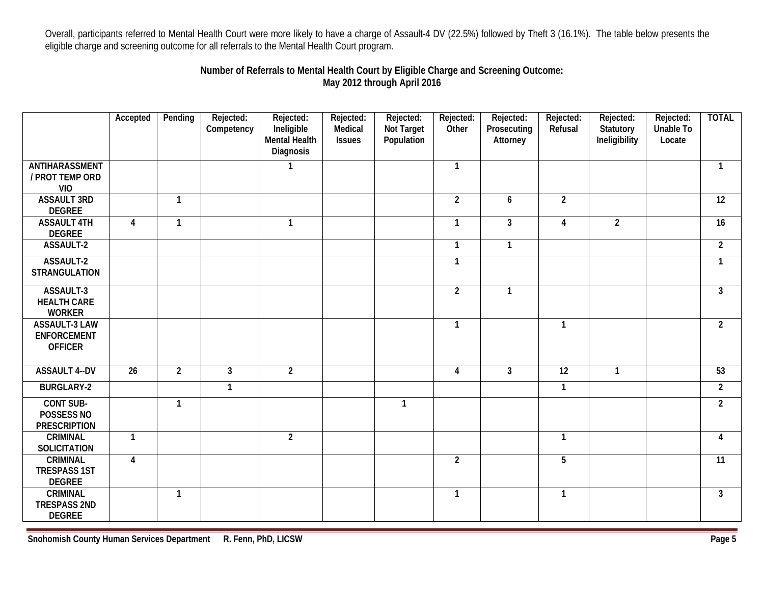Overall, participants referred to Mental Health Court were more likely to have a charge of Assault-4 DV (22.5%) followed by Theft 3 (16.1%). The table below presents the eligible charge and screening outcome for all referrals to the Mental Health Court program.

# **Number of Referrals to Mental Health Court by Eligible Charge and Screening Outcome: May 2012 through April 2016**

|                                                              | Accepted                | Pending        | Rejected:<br>Competency | Rejected:<br>Ineligible<br>Mental Health<br>Diagnosis | Rejected:<br>Medical<br><b>Issues</b> | Rejected:<br>Not Target<br>Population | Rejected:<br>Other | Rejected:<br>Prosecuting<br>Attorney | Rejected:<br>Refusal | Rejected:<br>Statutory<br>Ineligibility | Rejected:<br><b>Unable To</b><br>Locate | <b>TOTAL</b>   |
|--------------------------------------------------------------|-------------------------|----------------|-------------------------|-------------------------------------------------------|---------------------------------------|---------------------------------------|--------------------|--------------------------------------|----------------------|-----------------------------------------|-----------------------------------------|----------------|
| ANTIHARASSMENT<br>/ PROT TEMP ORD<br><b>VIO</b>              |                         |                |                         |                                                       |                                       |                                       | $\mathbf{1}$       |                                      |                      |                                         |                                         | $\mathbf{1}$   |
| <b>ASSAULT 3RD</b><br><b>DEGREE</b>                          |                         | $\mathbf{1}$   |                         |                                                       |                                       |                                       | $\overline{2}$     | 6                                    | $\overline{2}$       |                                         |                                         | 12             |
| <b>ASSAULT 4TH</b><br><b>DEGREE</b>                          | $\overline{\mathbf{4}}$ | $\mathbf{1}$   |                         | $\mathbf{1}$                                          |                                       |                                       | $\mathbf{1}$       | $\mathbf{3}$                         | 4                    | $\overline{2}$                          |                                         | 16             |
| ASSAULT-2                                                    |                         |                |                         |                                                       |                                       |                                       | $\mathbf{1}$       | $\mathbf{1}$                         |                      |                                         |                                         | $\overline{2}$ |
| ASSAULT-2<br><b>STRANGULATION</b>                            |                         |                |                         |                                                       |                                       |                                       | $\mathbf{1}$       |                                      |                      |                                         |                                         | -1             |
| ASSAULT-3<br><b>HEALTH CARE</b><br><b>WORKER</b>             |                         |                |                         |                                                       |                                       |                                       | $\overline{2}$     | $\mathbf{1}$                         |                      |                                         |                                         | 3              |
| <b>ASSAULT-3 LAW</b><br><b>ENFORCEMENT</b><br><b>OFFICER</b> |                         |                |                         |                                                       |                                       |                                       | $\mathbf{1}$       |                                      | $\mathbf{1}$         |                                         |                                         | $\overline{2}$ |
| <b>ASSAULT 4--DV</b>                                         | $\overline{26}$         | $\overline{2}$ | $\overline{3}$          | $\overline{2}$                                        |                                       |                                       | $\overline{4}$     | $\mathbf{3}$                         | $\overline{12}$      | $\mathbf{1}$                            |                                         | 53             |
| <b>BURGLARY-2</b>                                            |                         |                | $\mathbf{1}$            |                                                       |                                       |                                       |                    |                                      | $\mathbf{1}$         |                                         |                                         | $\overline{2}$ |
| <b>CONT SUB-</b><br>POSSESS NO<br><b>PRESCRIPTION</b>        |                         | $\overline{1}$ |                         |                                                       |                                       | $\mathbf{1}$                          |                    |                                      |                      |                                         |                                         | $\overline{2}$ |
| <b>CRIMINAL</b><br><b>SOLICITATION</b>                       | $\mathbf{1}$            |                |                         | $\overline{2}$                                        |                                       |                                       |                    |                                      | $\mathbf{1}$         |                                         |                                         | 4              |
| <b>CRIMINAL</b><br><b>TRESPASS 1ST</b><br><b>DEGREE</b>      | 4                       |                |                         |                                                       |                                       |                                       | $\overline{2}$     |                                      | 5                    |                                         |                                         | 11             |
| <b>CRIMINAL</b><br><b>TRESPASS 2ND</b><br><b>DEGREE</b>      |                         | $\mathbf{1}$   |                         |                                                       |                                       |                                       | $\mathbf{1}$       |                                      | $\mathbf{1}$         |                                         |                                         | 3              |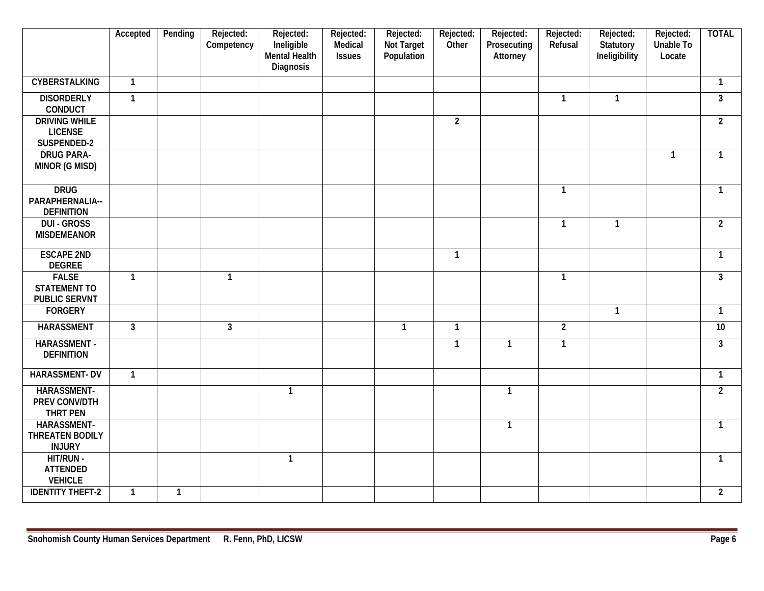|                                                             | Accepted       | Pending      | Rejected:<br>Competency | Rejected:<br>Ineligible<br>Mental Health<br><b>Diagnosis</b> | Rejected:<br>Medical<br><b>Issues</b> | Rejected:<br>Not Target<br>Population | Rejected:<br>Other | Rejected:<br>Prosecuting<br>Attorney | Rejected:<br>Refusal | Rejected:<br>Statutory<br>Ineligibility | Rejected:<br><b>Unable To</b><br>Locate | <b>TOTAL</b>   |
|-------------------------------------------------------------|----------------|--------------|-------------------------|--------------------------------------------------------------|---------------------------------------|---------------------------------------|--------------------|--------------------------------------|----------------------|-----------------------------------------|-----------------------------------------|----------------|
| <b>CYBERSTALKING</b>                                        | $\overline{1}$ |              |                         |                                                              |                                       |                                       |                    |                                      |                      |                                         |                                         | $\mathbf{1}$   |
| <b>DISORDERLY</b><br><b>CONDUCT</b>                         | $\overline{1}$ |              |                         |                                                              |                                       |                                       |                    |                                      | $\mathbf{1}$         | $\mathbf{1}$                            |                                         | $\mathbf{3}$   |
| <b>DRIVING WHILE</b><br><b>LICENSE</b><br>SUSPENDED-2       |                |              |                         |                                                              |                                       |                                       | $\overline{2}$     |                                      |                      |                                         |                                         | $\overline{2}$ |
| <b>DRUG PARA-</b><br>MINOR (G MISD)                         |                |              |                         |                                                              |                                       |                                       |                    |                                      |                      |                                         | $\mathbf{1}$                            | $\mathbf{1}$   |
| <b>DRUG</b><br>PARAPHERNALIA--<br><b>DEFINITION</b>         |                |              |                         |                                                              |                                       |                                       |                    |                                      | $\mathbf{1}$         |                                         |                                         | $\mathbf{1}$   |
| <b>DUI - GROSS</b><br><b>MISDEMEANOR</b>                    |                |              |                         |                                                              |                                       |                                       |                    |                                      | $\mathbf{1}$         | $\mathbf{1}$                            |                                         | $\overline{2}$ |
| <b>ESCAPE 2ND</b><br><b>DEGREE</b>                          |                |              |                         |                                                              |                                       |                                       | $\mathbf{1}$       |                                      |                      |                                         |                                         | $\mathbf{1}$   |
| <b>FALSE</b><br><b>STATEMENT TO</b><br><b>PUBLIC SERVNT</b> | $\mathbf{1}$   |              | $\mathbf{1}$            |                                                              |                                       |                                       |                    |                                      | $\mathbf{1}$         |                                         |                                         | $\mathbf{3}$   |
| <b>FORGERY</b>                                              |                |              |                         |                                                              |                                       |                                       |                    |                                      |                      | $\overline{1}$                          |                                         | $\mathbf{1}$   |
| <b>HARASSMENT</b>                                           | $\mathbf{3}$   |              | $\mathbf{3}$            |                                                              |                                       | $\mathbf{1}$                          | $\mathbf{1}$       |                                      | $\overline{2}$       |                                         |                                         | 10             |
| <b>HARASSMENT-</b><br><b>DEFINITION</b>                     |                |              |                         |                                                              |                                       |                                       | $\mathbf{1}$       | $\mathbf{1}$                         | $\mathbf{1}$         |                                         |                                         | $\mathbf{3}$   |
| <b>HARASSMENT-DV</b>                                        | $\overline{1}$ |              |                         |                                                              |                                       |                                       |                    |                                      |                      |                                         |                                         | $\mathbf{1}$   |
| HARASSMENT-<br>PREV CONV/DTH<br>THRT PEN                    |                |              |                         | $\mathbf{1}$                                                 |                                       |                                       |                    | $\mathbf{1}$                         |                      |                                         |                                         | $\overline{2}$ |
| HARASSMENT-<br><b>THREATEN BODILY</b><br><b>INJURY</b>      |                |              |                         |                                                              |                                       |                                       |                    | $\mathbf{1}$                         |                      |                                         |                                         | $\mathbf{1}$   |
| HIT/RUN -<br><b>ATTENDED</b><br><b>VEHICLE</b>              |                |              |                         | $\mathbf{1}$                                                 |                                       |                                       |                    |                                      |                      |                                         |                                         | $\mathbf{1}$   |
| <b>IDENTITY THEFT-2</b>                                     | $\mathbf{1}$   | $\mathbf{1}$ |                         |                                                              |                                       |                                       |                    |                                      |                      |                                         |                                         | $\overline{2}$ |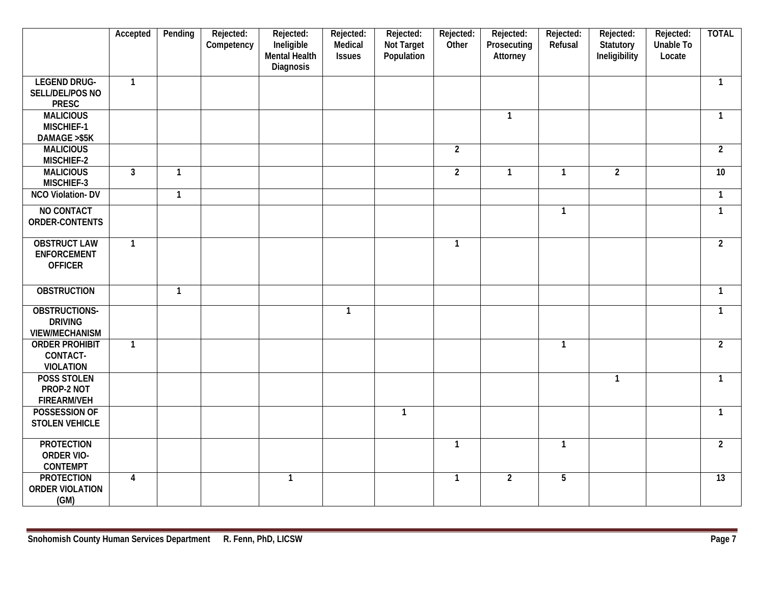|                         | Accepted       | Pending        | Rejected:<br>Competency | Rejected:<br>Ineligible<br>Mental Health<br>Diagnosis | Rejected:<br>Medical<br><b>Issues</b> | Rejected:<br>Not Target<br>Population | Rejected:<br><b>Other</b> | Rejected:<br>Prosecuting<br>Attorney | Rejected:<br>Refusal | Rejected:<br>Statutory<br>Ineligibility | Rejected:<br>Unable To<br>Locate | <b>TOTAL</b>    |
|-------------------------|----------------|----------------|-------------------------|-------------------------------------------------------|---------------------------------------|---------------------------------------|---------------------------|--------------------------------------|----------------------|-----------------------------------------|----------------------------------|-----------------|
| <b>LEGEND DRUG-</b>     | $\overline{1}$ |                |                         |                                                       |                                       |                                       |                           |                                      |                      |                                         |                                  | $\mathbf 1$     |
| SELL/DEL/POS NO         |                |                |                         |                                                       |                                       |                                       |                           |                                      |                      |                                         |                                  |                 |
| <b>PRESC</b>            |                |                |                         |                                                       |                                       |                                       |                           |                                      |                      |                                         |                                  |                 |
| <b>MALICIOUS</b>        |                |                |                         |                                                       |                                       |                                       |                           | $\mathbf{1}$                         |                      |                                         |                                  | -1              |
| MISCHIEF-1              |                |                |                         |                                                       |                                       |                                       |                           |                                      |                      |                                         |                                  |                 |
| DAMAGE >\$5K            |                |                |                         |                                                       |                                       |                                       |                           |                                      |                      |                                         |                                  |                 |
| <b>MALICIOUS</b>        |                |                |                         |                                                       |                                       |                                       | $\overline{2}$            |                                      |                      |                                         |                                  | $\overline{2}$  |
| MISCHIEF-2              |                |                |                         |                                                       |                                       |                                       |                           |                                      |                      |                                         |                                  |                 |
| <b>MALICIOUS</b>        | $\overline{3}$ | $\overline{1}$ |                         |                                                       |                                       |                                       | $\overline{2}$            | $\mathbf{1}$                         | $\overline{1}$       | $\overline{2}$                          |                                  | $\overline{10}$ |
| MISCHIEF-3              |                |                |                         |                                                       |                                       |                                       |                           |                                      |                      |                                         |                                  |                 |
| <b>NCO Violation-DV</b> |                | $\mathbf{1}$   |                         |                                                       |                                       |                                       |                           |                                      |                      |                                         |                                  | $\mathbf{1}$    |
| NO CONTACT              |                |                |                         |                                                       |                                       |                                       |                           |                                      | $\mathbf{1}$         |                                         |                                  | $\mathbf{1}$    |
| ORDER-CONTENTS          |                |                |                         |                                                       |                                       |                                       |                           |                                      |                      |                                         |                                  |                 |
| <b>OBSTRUCT LAW</b>     | $\mathbf{1}$   |                |                         |                                                       |                                       |                                       | $\mathbf{1}$              |                                      |                      |                                         |                                  | $\overline{2}$  |
| <b>ENFORCEMENT</b>      |                |                |                         |                                                       |                                       |                                       |                           |                                      |                      |                                         |                                  |                 |
| <b>OFFICER</b>          |                |                |                         |                                                       |                                       |                                       |                           |                                      |                      |                                         |                                  |                 |
| <b>OBSTRUCTION</b>      |                | $\mathbf{1}$   |                         |                                                       |                                       |                                       |                           |                                      |                      |                                         |                                  | $\mathbf{1}$    |
| OBSTRUCTIONS-           |                |                |                         |                                                       | $\mathbf{1}$                          |                                       |                           |                                      |                      |                                         |                                  | $\mathbf{1}$    |
| <b>DRIVING</b>          |                |                |                         |                                                       |                                       |                                       |                           |                                      |                      |                                         |                                  |                 |
| <b>VIEW/MECHANISM</b>   |                |                |                         |                                                       |                                       |                                       |                           |                                      |                      |                                         |                                  |                 |
| <b>ORDER PROHIBIT</b>   | $\overline{1}$ |                |                         |                                                       |                                       |                                       |                           |                                      | $\overline{1}$       |                                         |                                  | $\overline{2}$  |
| CONTACT-                |                |                |                         |                                                       |                                       |                                       |                           |                                      |                      |                                         |                                  |                 |
| <b>VIOLATION</b>        |                |                |                         |                                                       |                                       |                                       |                           |                                      |                      |                                         |                                  |                 |
| <b>POSS STOLEN</b>      |                |                |                         |                                                       |                                       |                                       |                           |                                      |                      | $\mathbf{1}$                            |                                  | $\mathbf{1}$    |
| PROP-2 NOT              |                |                |                         |                                                       |                                       |                                       |                           |                                      |                      |                                         |                                  |                 |
| <b>FIREARM/VEH</b>      |                |                |                         |                                                       |                                       |                                       |                           |                                      |                      |                                         |                                  |                 |
| POSSESSION OF           |                |                |                         |                                                       |                                       | $\mathbf{1}$                          |                           |                                      |                      |                                         |                                  | -1              |
| <b>STOLEN VEHICLE</b>   |                |                |                         |                                                       |                                       |                                       |                           |                                      |                      |                                         |                                  |                 |
| <b>PROTECTION</b>       |                |                |                         |                                                       |                                       |                                       | $\mathbf{1}$              |                                      | $\mathbf{1}$         |                                         |                                  | $\overline{2}$  |
| <b>ORDER VIO-</b>       |                |                |                         |                                                       |                                       |                                       |                           |                                      |                      |                                         |                                  |                 |
| <b>CONTEMPT</b>         |                |                |                         |                                                       |                                       |                                       |                           |                                      |                      |                                         |                                  |                 |
| <b>PROTECTION</b>       | $\overline{4}$ |                |                         | $\mathbf{1}$                                          |                                       |                                       | $\mathbf{1}$              | $\overline{2}$                       | $\overline{5}$       |                                         |                                  | $\overline{13}$ |
| <b>ORDER VIOLATION</b>  |                |                |                         |                                                       |                                       |                                       |                           |                                      |                      |                                         |                                  |                 |
| (GM)                    |                |                |                         |                                                       |                                       |                                       |                           |                                      |                      |                                         |                                  |                 |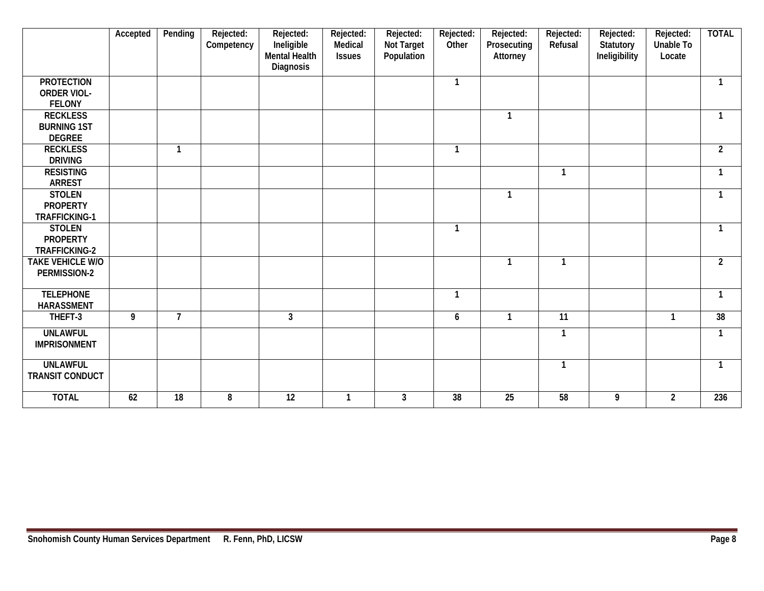|                                                          | Accepted | Pending         | Rejected:<br>Competency | Rejected:<br>Ineligible<br><b>Mental Health</b><br>Diagnosis | Rejected:<br>Medical<br><b>Issues</b> | Rejected:<br>Not Target<br>Population | Rejected:<br>Other | Rejected:<br>Prosecuting<br>Attorney | Rejected:<br>Refusal | Rejected:<br>Statutory<br>Ineligibility | Rejected:<br><b>Unable To</b><br>Locate | <b>TOTAL</b>   |
|----------------------------------------------------------|----------|-----------------|-------------------------|--------------------------------------------------------------|---------------------------------------|---------------------------------------|--------------------|--------------------------------------|----------------------|-----------------------------------------|-----------------------------------------|----------------|
| <b>PROTECTION</b><br><b>ORDER VIOL-</b><br><b>FELONY</b> |          |                 |                         |                                                              |                                       |                                       | $\mathbf{1}$       |                                      |                      |                                         |                                         | $\mathbf{1}$   |
| <b>RECKLESS</b><br><b>BURNING 1ST</b><br><b>DEGREE</b>   |          |                 |                         |                                                              |                                       |                                       |                    | $\mathbf{1}$                         |                      |                                         |                                         | $\mathbf{1}$   |
| <b>RECKLESS</b><br><b>DRIVING</b>                        |          | 1               |                         |                                                              |                                       |                                       | 1                  |                                      |                      |                                         |                                         | $\overline{2}$ |
| <b>RESISTING</b><br><b>ARREST</b>                        |          |                 |                         |                                                              |                                       |                                       |                    |                                      | $\mathbf{1}$         |                                         |                                         | -1             |
| <b>STOLEN</b><br><b>PROPERTY</b><br><b>TRAFFICKING-1</b> |          |                 |                         |                                                              |                                       |                                       |                    | $\mathbf{1}$                         |                      |                                         |                                         | -1             |
| <b>STOLEN</b><br><b>PROPERTY</b><br>TRAFFICKING-2        |          |                 |                         |                                                              |                                       |                                       | $\mathbf{1}$       |                                      |                      |                                         |                                         | $\mathbf{1}$   |
| <b>TAKE VEHICLE W/O</b><br>PERMISSION-2                  |          |                 |                         |                                                              |                                       |                                       |                    | -1                                   | 1                    |                                         |                                         | $\overline{2}$ |
| <b>TELEPHONE</b><br><b>HARASSMENT</b>                    |          |                 |                         |                                                              |                                       |                                       | $\mathbf{1}$       |                                      |                      |                                         |                                         | $\mathbf{1}$   |
| THEFT-3                                                  | 9        | $\overline{7}$  |                         | $\overline{3}$                                               |                                       |                                       | 6                  | $\mathbf{1}$                         | $\overline{11}$      |                                         | $\overline{1}$                          | 38             |
| <b>UNLAWFUL</b><br><b>IMPRISONMENT</b>                   |          |                 |                         |                                                              |                                       |                                       |                    |                                      | 1                    |                                         |                                         | -1             |
| <b>UNLAWFUL</b><br><b>TRANSIT CONDUCT</b>                |          |                 |                         |                                                              |                                       |                                       |                    |                                      | $\mathbf{1}$         |                                         |                                         | $\mathbf{1}$   |
| <b>TOTAL</b>                                             | 62       | $\overline{18}$ | 8                       | $\overline{12}$                                              | $\mathbf{1}$                          | $\overline{3}$                        | $\overline{38}$    | $\overline{25}$                      | $\overline{58}$      | 9                                       | $\overline{2}$                          | 236            |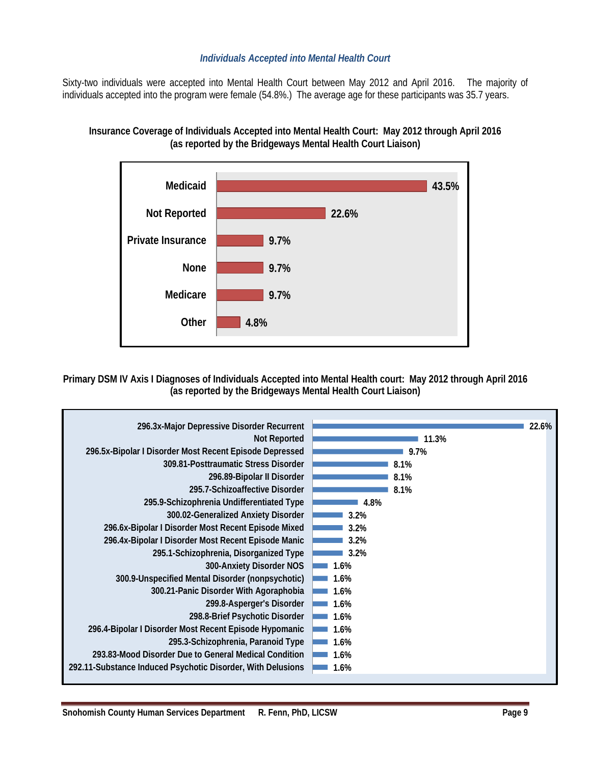# *Individuals Accepted into Mental Health Court*

Sixty-two individuals were accepted into Mental Health Court between May 2012 and April 2016. The majority of individuals accepted into the program were female (54.8%.) The average age for these participants was 35.7 years.





**Primary DSM IV Axis I Diagnoses of Individuals Accepted into Mental Health court: May 2012 through April 2016 (as reported by the Bridgeways Mental Health Court Liaison)**

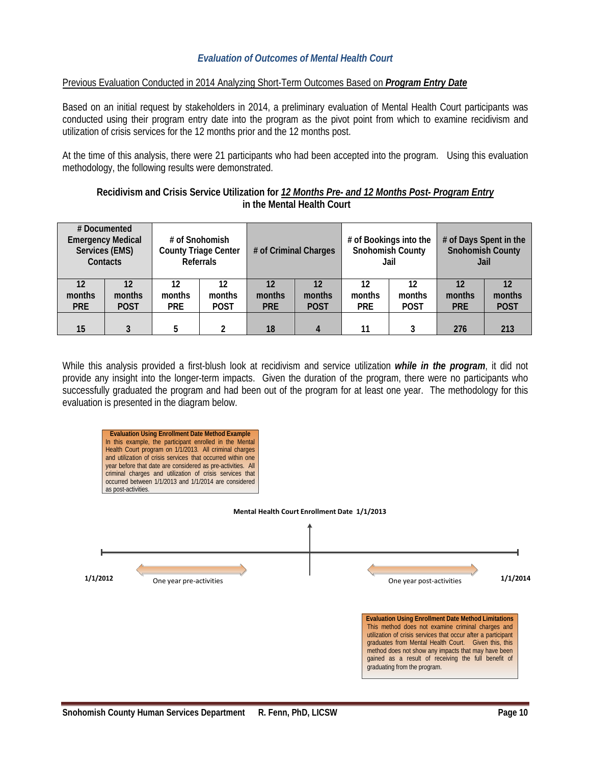# *Evaluation of Outcomes of Mental Health Court*

#### Previous Evaluation Conducted in 2014 Analyzing Short-Term Outcomes Based on *Program Entry Date*

Based on an initial request by stakeholders in 2014, a preliminary evaluation of Mental Health Court participants was conducted using their program entry date into the program as the pivot point from which to examine recidivism and utilization of crisis services for the 12 months prior and the 12 months post.

At the time of this analysis, there were 21 participants who had been accepted into the program. Using this evaluation methodology, the following results were demonstrated.

#### **Recidivism and Crisis Service Utilization for** *12 Months Pre- and 12 Months Post- Program Entry* **in the Mental Health Court**

| # Documented<br><b>Emergency Medical</b><br>Services (EMS)<br>Contacts |                   | <b>County Triage Center</b> | # of Snohomish<br><b>Referrals</b> | # of Criminal Charges |              | # of Bookings into the<br><b>Snohomish County</b><br>Jail |              | # of Days Spent in the<br><b>Snohomish County</b><br>Jail |                    |  |
|------------------------------------------------------------------------|-------------------|-----------------------------|------------------------------------|-----------------------|--------------|-----------------------------------------------------------|--------------|-----------------------------------------------------------|--------------------|--|
| 12<br>months                                                           | $12 \,$<br>months | 12<br>months                | 12<br>months                       | 12<br>months          | 12<br>months | 12<br>months                                              | 12<br>months | 12<br>months                                              | months             |  |
| <b>PRE</b><br>15                                                       | <b>POST</b>       | <b>PRE</b><br>5             | <b>POST</b>                        | <b>PRE</b><br>18      | <b>POST</b>  | <b>PRE</b><br>11                                          | <b>POST</b>  | <b>PRE</b><br>276                                         | <b>POST</b><br>213 |  |

While this analysis provided a first-blush look at recidivism and service utilization *while in the program*, it did not provide any insight into the longer-term impacts. Given the duration of the program, there were no participants who successfully graduated the program and had been out of the program for at least one year. The methodology for this evaluation is presented in the diagram below.

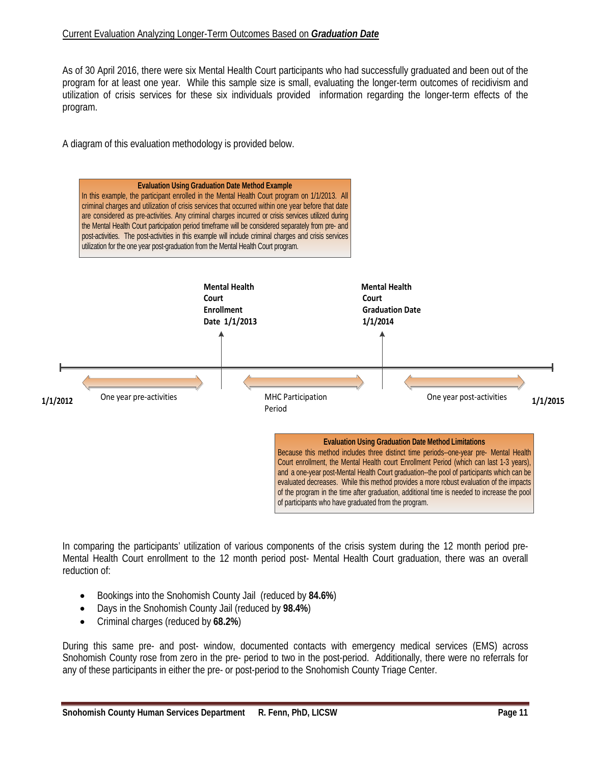#### Current Evaluation Analyzing Longer-Term Outcomes Based on *Graduation Date*

As of 30 April 2016, there were six Mental Health Court participants who had successfully graduated and been out of the program for at least one year. While this sample size is small, evaluating the longer-term outcomes of recidivism and utilization of crisis services for these six individuals provided information regarding the longer-term effects of the program.

A diagram of this evaluation methodology is provided below.



In comparing the participants' utilization of various components of the crisis system during the 12 month period pre-Mental Health Court enrollment to the 12 month period post- Mental Health Court graduation, there was an overall reduction of:

- Bookings into the Snohomish County Jail (reduced by **84.6%**)
- Days in the Snohomish County Jail (reduced by **98.4%**)
- Criminal charges (reduced by **68.2%**)

During this same pre- and post- window, documented contacts with emergency medical services (EMS) across Snohomish County rose from zero in the pre- period to two in the post-period. Additionally, there were no referrals for any of these participants in either the pre- or post-period to the Snohomish County Triage Center.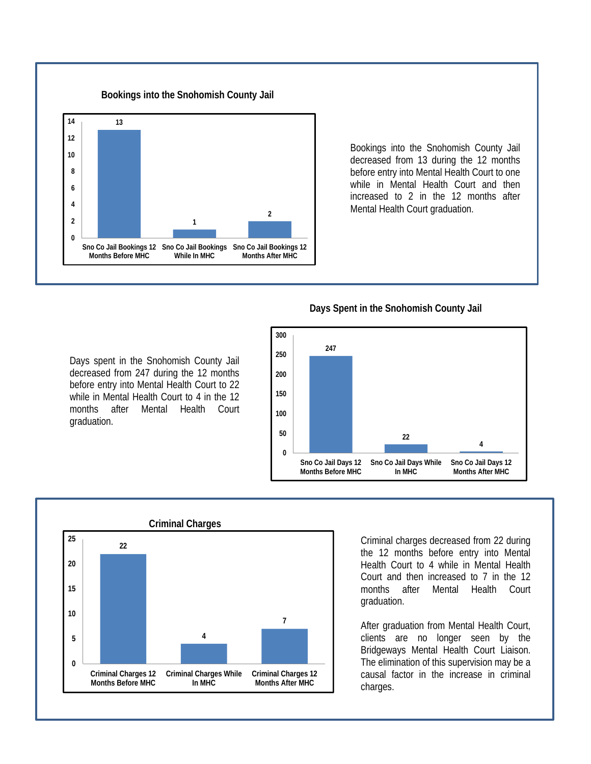

Bookings into the Snohomish County Jail decreased from 13 during the 12 months before entry into Mental Health Court to one while in Mental Health Court and then increased to 2 in the 12 months after Mental Health Court graduation.

# **Days Spent in the Snohomish County Jail**



 **Criminal Charges 22 4 7 0 5 10 15 20 25**

> **Criminal Charges While In MHC**

**Criminal Charges 12 Months After MHC**

**Criminal Charges 12 Months Before MHC**

Criminal charges decreased from 22 during the 12 months before entry into Mental Health Court to 4 while in Mental Health Court and then increased to 7 in the 12 months after Mental Health Court graduation.

After graduation from Mental Health Court, clients are no longer seen by the Bridgeways Mental Health Court Liaison. The elimination of this supervision may be a causal factor in the increase in criminal charges.

Days spent in the Snohomish County Jail decreased from 247 during the 12 months before entry into Mental Health Court to 22 while in Mental Health Court to 4 in the 12 months after Mental Health Court graduation.